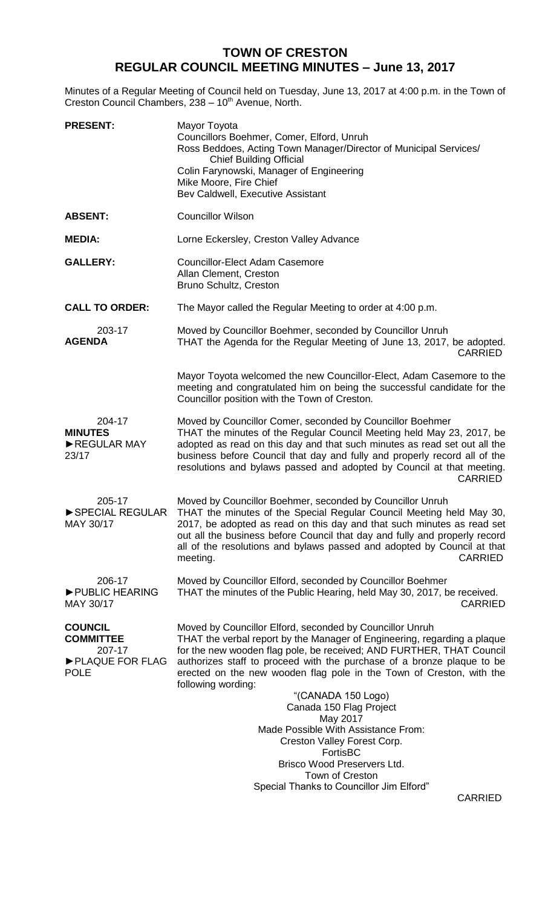## **TOWN OF CRESTON REGULAR COUNCIL MEETING MINUTES – June 13, 2017**

Minutes of a Regular Meeting of Council held on Tuesday, June 13, 2017 at 4:00 p.m. in the Town of Creston Council Chambers, 238 - 10<sup>th</sup> Avenue, North.

| <b>PRESENT:</b>                                                                | Mayor Toyota<br>Councillors Boehmer, Comer, Elford, Unruh<br>Ross Beddoes, Acting Town Manager/Director of Municipal Services/<br><b>Chief Building Official</b><br>Colin Farynowski, Manager of Engineering<br>Mike Moore, Fire Chief<br>Bev Caldwell, Executive Assistant                                                                                                                                                                                                                                                                                                                                                                         |
|--------------------------------------------------------------------------------|-----------------------------------------------------------------------------------------------------------------------------------------------------------------------------------------------------------------------------------------------------------------------------------------------------------------------------------------------------------------------------------------------------------------------------------------------------------------------------------------------------------------------------------------------------------------------------------------------------------------------------------------------------|
| <b>ABSENT:</b>                                                                 | <b>Councillor Wilson</b>                                                                                                                                                                                                                                                                                                                                                                                                                                                                                                                                                                                                                            |
| <b>MEDIA:</b>                                                                  | Lorne Eckersley, Creston Valley Advance                                                                                                                                                                                                                                                                                                                                                                                                                                                                                                                                                                                                             |
| <b>GALLERY:</b>                                                                | <b>Councillor-Elect Adam Casemore</b><br>Allan Clement, Creston<br>Bruno Schultz, Creston                                                                                                                                                                                                                                                                                                                                                                                                                                                                                                                                                           |
| <b>CALL TO ORDER:</b>                                                          | The Mayor called the Regular Meeting to order at 4:00 p.m.                                                                                                                                                                                                                                                                                                                                                                                                                                                                                                                                                                                          |
| 203-17<br><b>AGENDA</b>                                                        | Moved by Councillor Boehmer, seconded by Councillor Unruh<br>THAT the Agenda for the Regular Meeting of June 13, 2017, be adopted.<br><b>CARRIED</b>                                                                                                                                                                                                                                                                                                                                                                                                                                                                                                |
|                                                                                | Mayor Toyota welcomed the new Councillor-Elect, Adam Casemore to the<br>meeting and congratulated him on being the successful candidate for the<br>Councillor position with the Town of Creston.                                                                                                                                                                                                                                                                                                                                                                                                                                                    |
| 204-17<br><b>MINUTES</b><br>REGULAR MAY<br>23/17                               | Moved by Councillor Comer, seconded by Councillor Boehmer<br>THAT the minutes of the Regular Council Meeting held May 23, 2017, be<br>adopted as read on this day and that such minutes as read set out all the<br>business before Council that day and fully and properly record all of the<br>resolutions and bylaws passed and adopted by Council at that meeting.<br><b>CARRIED</b>                                                                                                                                                                                                                                                             |
| 205-17<br>SPECIAL REGULAR<br>MAY 30/17                                         | Moved by Councillor Boehmer, seconded by Councillor Unruh<br>THAT the minutes of the Special Regular Council Meeting held May 30,<br>2017, be adopted as read on this day and that such minutes as read set<br>out all the business before Council that day and fully and properly record<br>all of the resolutions and bylaws passed and adopted by Council at that<br><b>CARRIED</b><br>meeting.                                                                                                                                                                                                                                                  |
| 206-17<br>PUBLIC HEARING<br>MAY 30/17                                          | Moved by Councillor Elford, seconded by Councillor Boehmer<br>THAT the minutes of the Public Hearing, held May 30, 2017, be received.<br><b>CARRIED</b>                                                                                                                                                                                                                                                                                                                                                                                                                                                                                             |
| <b>COUNCIL</b><br><b>COMMITTEE</b><br>207-17<br>PLAQUE FOR FLAG<br><b>POLE</b> | Moved by Councillor Elford, seconded by Councillor Unruh<br>THAT the verbal report by the Manager of Engineering, regarding a plaque<br>for the new wooden flag pole, be received; AND FURTHER, THAT Council<br>authorizes staff to proceed with the purchase of a bronze plaque to be<br>erected on the new wooden flag pole in the Town of Creston, with the<br>following wording:<br>"(CANADA 150 Logo)<br>Canada 150 Flag Project<br>May 2017<br>Made Possible With Assistance From:<br>Creston Valley Forest Corp.<br>FortisBC<br>Brisco Wood Preservers Ltd.<br>Town of Creston<br>Special Thanks to Councillor Jim Elford"<br><b>CARRIED</b> |
|                                                                                |                                                                                                                                                                                                                                                                                                                                                                                                                                                                                                                                                                                                                                                     |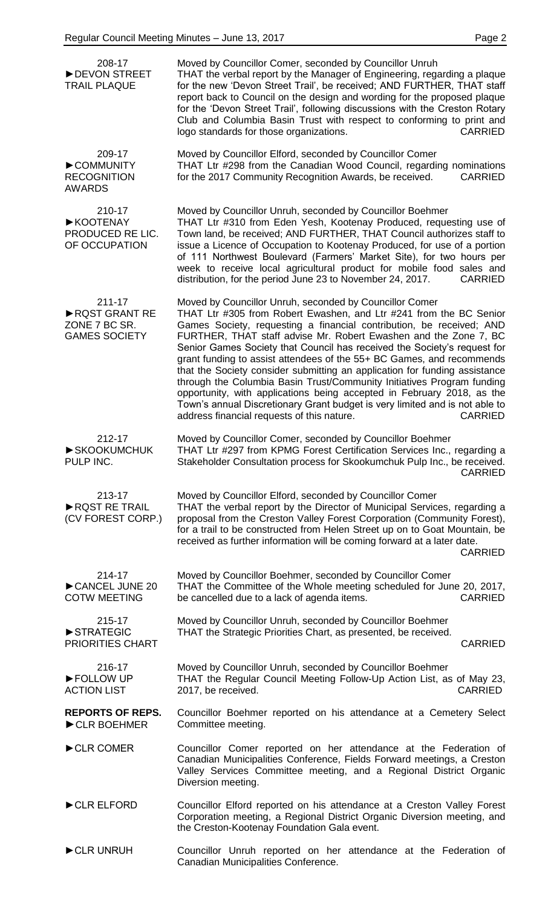| 208-17<br>DEVON STREET<br><b>TRAIL PLAQUE</b>                    | Moved by Councillor Comer, seconded by Councillor Unruh<br>THAT the verbal report by the Manager of Engineering, regarding a plaque<br>for the new 'Devon Street Trail', be received; AND FURTHER, THAT staff<br>report back to Council on the design and wording for the proposed plaque<br>for the 'Devon Street Trail', following discussions with the Creston Rotary<br>Club and Columbia Basin Trust with respect to conforming to print and<br>logo standards for those organizations.<br><b>CARRIED</b>                                                                                                                                                                                                                                                                                                  |
|------------------------------------------------------------------|-----------------------------------------------------------------------------------------------------------------------------------------------------------------------------------------------------------------------------------------------------------------------------------------------------------------------------------------------------------------------------------------------------------------------------------------------------------------------------------------------------------------------------------------------------------------------------------------------------------------------------------------------------------------------------------------------------------------------------------------------------------------------------------------------------------------|
| 209-17<br>COMMUNITY<br><b>RECOGNITION</b><br><b>AWARDS</b>       | Moved by Councillor Elford, seconded by Councillor Comer<br>THAT Ltr #298 from the Canadian Wood Council, regarding nominations<br>for the 2017 Community Recognition Awards, be received.<br><b>CARRIED</b>                                                                                                                                                                                                                                                                                                                                                                                                                                                                                                                                                                                                    |
| 210-17<br>▶ KOOTENAY<br>PRODUCED RE LIC.<br>OF OCCUPATION        | Moved by Councillor Unruh, seconded by Councillor Boehmer<br>THAT Ltr #310 from Eden Yesh, Kootenay Produced, requesting use of<br>Town land, be received; AND FURTHER, THAT Council authorizes staff to<br>issue a Licence of Occupation to Kootenay Produced, for use of a portion<br>of 111 Northwest Boulevard (Farmers' Market Site), for two hours per<br>week to receive local agricultural product for mobile food sales and<br>distribution, for the period June 23 to November 24, 2017.<br><b>CARRIED</b>                                                                                                                                                                                                                                                                                            |
| 211-17<br>RQST GRANT RE<br>ZONE 7 BC SR.<br><b>GAMES SOCIETY</b> | Moved by Councillor Unruh, seconded by Councillor Comer<br>THAT Ltr #305 from Robert Ewashen, and Ltr #241 from the BC Senior<br>Games Society, requesting a financial contribution, be received; AND<br>FURTHER, THAT staff advise Mr. Robert Ewashen and the Zone 7, BC<br>Senior Games Society that Council has received the Society's request for<br>grant funding to assist attendees of the 55+ BC Games, and recommends<br>that the Society consider submitting an application for funding assistance<br>through the Columbia Basin Trust/Community Initiatives Program funding<br>opportunity, with applications being accepted in February 2018, as the<br>Town's annual Discretionary Grant budget is very limited and is not able to<br><b>CARRIED</b><br>address financial requests of this nature. |
| 212-17<br>SKOOKUMCHUK<br>PULP INC.                               | Moved by Councillor Comer, seconded by Councillor Boehmer<br>THAT Ltr #297 from KPMG Forest Certification Services Inc., regarding a<br>Stakeholder Consultation process for Skookumchuk Pulp Inc., be received.<br><b>CARRIED</b>                                                                                                                                                                                                                                                                                                                                                                                                                                                                                                                                                                              |
| 213-17<br>RQST RE TRAIL<br>(CV FOREST CORP.)                     | Moved by Councillor Elford, seconded by Councillor Comer<br>THAT the verbal report by the Director of Municipal Services, regarding a<br>proposal from the Creston Valley Forest Corporation (Community Forest),<br>for a trail to be constructed from Helen Street up on to Goat Mountain, be<br>received as further information will be coming forward at a later date.<br><b>CARRIED</b>                                                                                                                                                                                                                                                                                                                                                                                                                     |
| 214-17<br>CANCEL JUNE 20<br><b>COTW MEETING</b>                  | Moved by Councillor Boehmer, seconded by Councillor Comer<br>THAT the Committee of the Whole meeting scheduled for June 20, 2017,<br><b>CARRIED</b><br>be cancelled due to a lack of agenda items.                                                                                                                                                                                                                                                                                                                                                                                                                                                                                                                                                                                                              |
| 215-17<br>STRATEGIC<br><b>PRIORITIES CHART</b>                   | Moved by Councillor Unruh, seconded by Councillor Boehmer<br>THAT the Strategic Priorities Chart, as presented, be received.<br><b>CARRIED</b>                                                                                                                                                                                                                                                                                                                                                                                                                                                                                                                                                                                                                                                                  |
| 216-17<br>FOLLOW UP<br><b>ACTION LIST</b>                        | Moved by Councillor Unruh, seconded by Councillor Boehmer<br>THAT the Regular Council Meeting Follow-Up Action List, as of May 23,<br>2017, be received.<br><b>CARRIED</b>                                                                                                                                                                                                                                                                                                                                                                                                                                                                                                                                                                                                                                      |
| <b>REPORTS OF REPS.</b><br>CLR BOEHMER                           | Councillor Boehmer reported on his attendance at a Cemetery Select<br>Committee meeting.                                                                                                                                                                                                                                                                                                                                                                                                                                                                                                                                                                                                                                                                                                                        |
| CLR COMER                                                        | Councillor Comer reported on her attendance at the Federation of<br>Canadian Municipalities Conference, Fields Forward meetings, a Creston<br>Valley Services Committee meeting, and a Regional District Organic<br>Diversion meeting.                                                                                                                                                                                                                                                                                                                                                                                                                                                                                                                                                                          |
| CLR ELFORD                                                       | Councillor Elford reported on his attendance at a Creston Valley Forest<br>Corporation meeting, a Regional District Organic Diversion meeting, and<br>the Creston-Kootenay Foundation Gala event.                                                                                                                                                                                                                                                                                                                                                                                                                                                                                                                                                                                                               |
| CLR UNRUH                                                        | Councillor Unruh reported on her attendance at the Federation of<br>Canadian Municipalities Conference.                                                                                                                                                                                                                                                                                                                                                                                                                                                                                                                                                                                                                                                                                                         |